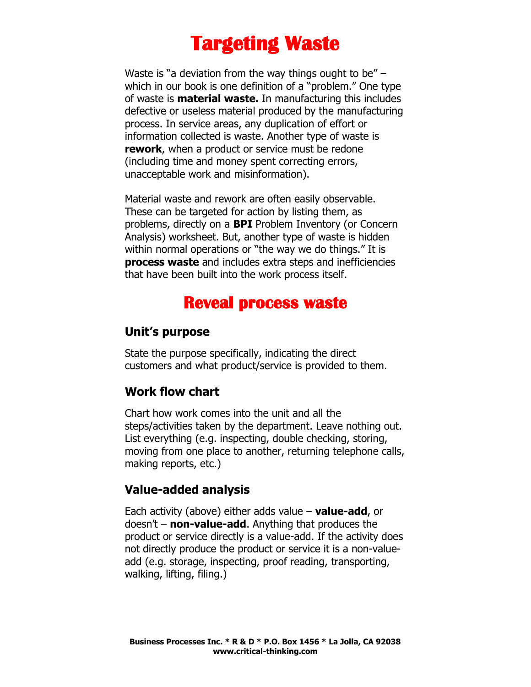# **Targeting Waste**

Waste is "a deviation from the way things ought to be"  $$ which in our book is one definition of a "problem." One type of waste is **material waste.** In manufacturing this includes defective or useless material produced by the manufacturing process. In service areas, any duplication of effort or information collected is waste. Another type of waste is **rework**, when a product or service must be redone (including time and money spent correcting errors, unacceptable work and misinformation).

Material waste and rework are often easily observable. These can be targeted for action by listing them, as problems, directly on a **BPI** Problem Inventory (or Concern Analysis) worksheet. But, another type of waste is hidden within normal operations or "the way we do things." It is **process waste** and includes extra steps and inefficiencies that have been built into the work process itself.

# **Reveal process waste**

#### **Unit's purpose**

State the purpose specifically, indicating the direct customers and what product/service is provided to them.

#### **Work flow chart**

Chart how work comes into the unit and all the steps/activities taken by the department. Leave nothing out. List everything (e.g. inspecting, double checking, storing, moving from one place to another, returning telephone calls, making reports, etc.)

#### **Value-added analysis**

Each activity (above) either adds value – **value-add**, or doesn't – **non-value-add**. Anything that produces the product or service directly is a value-add. If the activity does not directly produce the product or service it is a non-valueadd (e.g. storage, inspecting, proof reading, transporting, walking, lifting, filing.)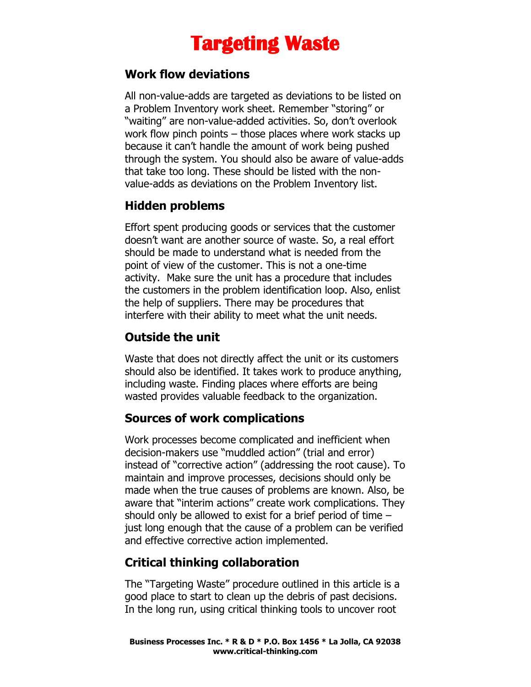# **Targeting Waste**

#### **Work flow deviations**

All non-value-adds are targeted as deviations to be listed on a Problem Inventory work sheet. Remember "storing" or "waiting" are non-value-added activities. So, don't overlook work flow pinch points – those places where work stacks up because it can't handle the amount of work being pushed through the system. You should also be aware of value-adds that take too long. These should be listed with the nonvalue-adds as deviations on the Problem Inventory list.

### **Hidden problems**

Effort spent producing goods or services that the customer doesn't want are another source of waste. So, a real effort should be made to understand what is needed from the point of view of the customer. This is not a one-time activity. Make sure the unit has a procedure that includes the customers in the problem identification loop. Also, enlist the help of suppliers. There may be procedures that interfere with their ability to meet what the unit needs.

## **Outside the unit**

Waste that does not directly affect the unit or its customers should also be identified. It takes work to produce anything, including waste. Finding places where efforts are being wasted provides valuable feedback to the organization.

## **Sources of work complications**

Work processes become complicated and inefficient when decision-makers use "muddled action" (trial and error) instead of "corrective action" (addressing the root cause). To maintain and improve processes, decisions should only be made when the true causes of problems are known. Also, be aware that "interim actions" create work complications. They should only be allowed to exist for a brief period of time – just long enough that the cause of a problem can be verified and effective corrective action implemented.

## **Critical thinking collaboration**

The "Targeting Waste" procedure outlined in this article is a good place to start to clean up the debris of past decisions. In the long run, using critical thinking tools to uncover root